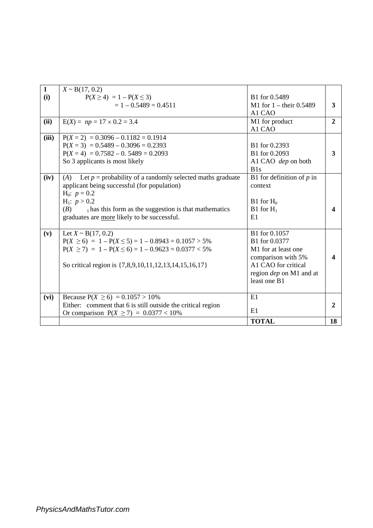| $\mathbf{1}$ | $X \sim B(17, 0.2)$                                                |                             |                |
|--------------|--------------------------------------------------------------------|-----------------------------|----------------|
| (i)          | $P(X \ge 4) = 1 - P(X \le 3)$                                      | B1 for 0.5489               |                |
|              | $= 1 - 0.5489 = 0.4511$                                            | M1 for $1 -$ their 0.5489   | 3              |
|              |                                                                    | A1 CAO                      |                |
| (ii)         | $E(X) = np = 17 \times 0.2 = 3.4$                                  | M1 for product              | $\overline{2}$ |
|              |                                                                    | A1 CAO                      |                |
| (iii)        | $P(X = 2) = 0.3096 - 0.1182 = 0.1914$                              |                             |                |
|              | $P(X = 3) = 0.5489 - 0.3096 = 0.2393$                              | B1 for 0.2393               |                |
|              | $P(X = 4) = 0.7582 - 0.5489 = 0.2093$                              | B1 for 0.2093               | 3              |
|              | So 3 applicants is most likely                                     | A1 CAO dep on both          |                |
|              |                                                                    | B1s                         |                |
| (iv)         | Let $p =$ probability of a randomly selected maths graduate<br>(A) | B1 for definition of $p$ in |                |
|              | applicant being successful (for population)                        | context                     |                |
|              | $H_0$ : $p = 0.2$                                                  |                             |                |
|              | $H_1$ : $p > 0.2$                                                  | $B1$ for $H_0$              |                |
|              | $_1$ has this form as the suggestion is that mathematics<br>(B)    | $B1$ for $H_1$              |                |
|              | graduates are more likely to be successful.                        | E1                          |                |
|              |                                                                    |                             |                |
| (v)          | Let $X \sim B(17, 0.2)$                                            | B1 for 0.1057               |                |
|              | $P(X \ge 6) = 1 - P(X \le 5) = 1 - 0.8943 = 0.1057 > 5\%$          | B1 for 0.0377               |                |
|              | $P(X \ge 7) = 1 - P(X \le 6) = 1 - 0.9623 = 0.0377 < 5\%$          | M1 for at least one         |                |
|              |                                                                    | comparison with 5%          | Δ              |
|              | So critical region is {7,8,9,10,11,12,13,14,15,16,17}              | A1 CAO for critical         |                |
|              |                                                                    | region dep on M1 and at     |                |
|              |                                                                    | least one B1                |                |
|              |                                                                    |                             |                |
| (vi)         | Because $P(X \ge 6) = 0.1057 > 10\%$                               | E1                          |                |
|              | Either: comment that 6 is still outside the critical region        |                             | $\mathbf{2}$   |
|              | Or comparison $P(X \ge 7) = 0.0377 < 10\%$                         | E1                          |                |
|              |                                                                    | <b>TOTAL</b>                | 18             |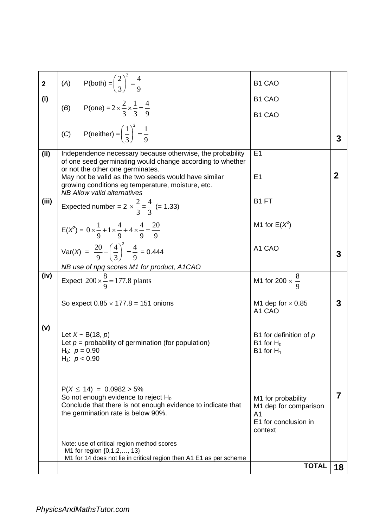| $\overline{2}$ | (A) $P(both) = \left(\frac{2}{3}\right)^2 = \frac{4}{9}$                                                                                                                    | B1 CAO                                                                                           |             |
|----------------|-----------------------------------------------------------------------------------------------------------------------------------------------------------------------------|--------------------------------------------------------------------------------------------------|-------------|
| (i)            | (B) P(one) = $2 \times \frac{2}{3} \times \frac{1}{3} = \frac{4}{9}$                                                                                                        | B <sub>1</sub> C <sub>A</sub> O                                                                  |             |
|                |                                                                                                                                                                             | B1 CAO                                                                                           |             |
|                | (C) P(neither) = $\left(\frac{1}{3}\right)^2 = \frac{1}{9}$                                                                                                                 |                                                                                                  | 3           |
| (ii)           | Independence necessary because otherwise, the probability<br>of one seed germinating would change according to whether<br>or not the other one germinates.                  | E <sub>1</sub>                                                                                   |             |
|                | May not be valid as the two seeds would have similar<br>growing conditions eg temperature, moisture, etc.<br><b>NB Allow valid alternatives</b>                             | E <sub>1</sub>                                                                                   | $\mathbf 2$ |
| (iii)          | Expected number = $2 \times \frac{2}{3} = \frac{4}{3}$ (= 1.33)                                                                                                             | B <sub>1</sub> FT                                                                                |             |
|                | $E(X^2) = 0 \times \frac{1}{9} + 1 \times \frac{4}{9} + 4 \times \frac{4}{9} = \frac{20}{9}$                                                                                | M1 for $E(X^2)$                                                                                  |             |
|                | Var(X) = $\frac{20}{9} - \left(\frac{4}{3}\right)^2 = \frac{4}{9} = 0.444$                                                                                                  | A1 CAO                                                                                           | 3           |
|                | NB use of npq scores M1 for product, A1CAO                                                                                                                                  |                                                                                                  |             |
| (iv)           | Expect $200 \times \frac{8}{9} = 177.8$ plants                                                                                                                              | M1 for 200 $\times \frac{8}{9}$                                                                  |             |
|                | So expect $0.85 \times 177.8 = 151$ onions                                                                                                                                  | M1 dep for $\times$ 0.85<br>A1 CAO                                                               | 3           |
| (v)            | Let $X \sim B(18, p)$<br>Let $p =$ probability of germination (for population)<br>H <sub>0</sub> : $p = 0.90$<br>H <sub>1</sub> : $p < 0.90$                                | B1 for definition of $p$<br>B1 for $H_0$<br>B1 for $H_1$                                         |             |
|                | $P(X \le 14) = 0.0982 > 5\%$<br>So not enough evidence to reject $H_0$<br>Conclude that there is not enough evidence to indicate that<br>the germination rate is below 90%. | M1 for probability<br>M1 dep for comparison<br>A <sub>1</sub><br>E1 for conclusion in<br>context | 7           |
|                | Note: use of critical region method scores<br>M1 for region {0,1,2,, 13}<br>M1 for 14 does not lie in critical region then A1 E1 as per scheme                              |                                                                                                  |             |
|                |                                                                                                                                                                             | <b>TOTAL</b>                                                                                     | 18          |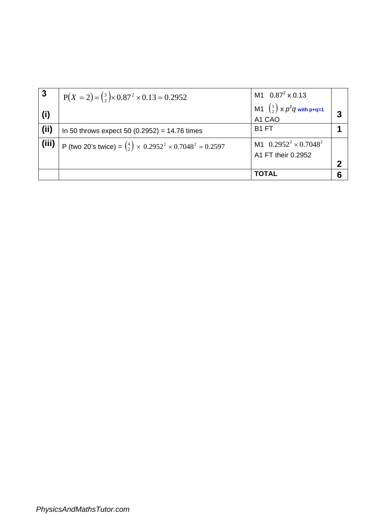| 3     | $P(X = 2) = {3 \choose 2} \times 0.87^2 \times 0.13 = 0.2952$                            | M1 $0.87^2 \times 0.13$                             |  |
|-------|------------------------------------------------------------------------------------------|-----------------------------------------------------|--|
| (i)   |                                                                                          | M1 $\binom{3}{2}$ x $p^2q$ with p+q=1<br>A1 CAO     |  |
| (ii)  | In 50 throws expect 50 $(0.2952) = 14.76$ times                                          | B <sub>1</sub> FT                                   |  |
| (iii) | P (two 20's twice) = $\binom{4}{2}$ × 0.2952 <sup>2</sup> × 0.7048 <sup>2</sup> = 0.2597 | M1 $0.2952^2 \times 0.7048^2$<br>A1 FT their 0.2952 |  |
|       |                                                                                          | <b>TOTAL</b>                                        |  |